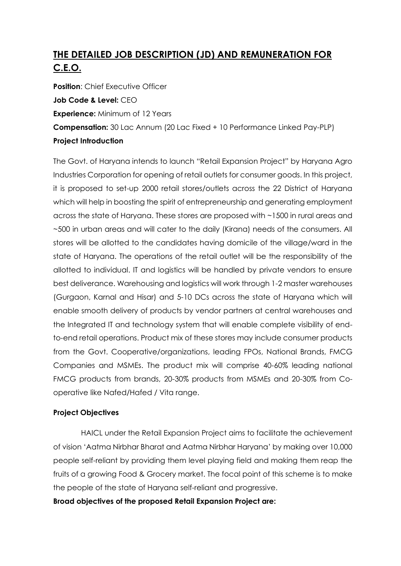# **THE DETAILED JOB DESCRIPTION (JD) AND REMUNERATION FOR C.E.O.**

**Position:** Chief Executive Officer **Job Code & Level:** CEO **Experience:** Minimum of 12 Years **Compensation:** 30 Lac Annum (20 Lac Fixed + 10 Performance Linked Pay-PLP) **Project Introduction**

The Govt. of Haryana intends to launch "Retail Expansion Project" by Haryana Agro Industries Corporation for opening of retail outlets for consumer goods. In this project, it is proposed to set-up 2000 retail stores/outlets across the 22 District of Haryana which will help in boosting the spirit of entrepreneurship and generating employment across the state of Haryana. These stores are proposed with ~1500 in rural areas and ~500 in urban areas and will cater to the daily (Kirana) needs of the consumers. All stores will be allotted to the candidates having domicile of the village/ward in the state of Haryana. The operations of the retail outlet will be the responsibility of the allotted to individual. IT and logistics will be handled by private vendors to ensure best deliverance. Warehousing and logistics will work through 1-2 master warehouses (Gurgaon, Karnal and Hisar) and 5-10 DCs across the state of Haryana which will enable smooth delivery of products by vendor partners at central warehouses and the Integrated IT and technology system that will enable complete visibility of endto-end retail operations. Product mix of these stores may include consumer products from the Govt. Cooperative/organizations, leading FPOs, National Brands, FMCG Companies and MSMEs. The product mix will comprise 40-60% leading national FMCG products from brands, 20-30% products from MSMEs and 20-30% from Cooperative like Nafed/Hafed / Vita range.

#### **Project Objectives**

 HAICL under the Retail Expansion Project aims to facilitate the achievement of vision 'Aatma Nirbhar Bharat and Aatma Nirbhar Haryana' by making over 10,000 people self-reliant by providing them level playing field and making them reap the fruits of a growing Food & Grocery market. The focal point of this scheme is to make the people of the state of Haryana self-reliant and progressive.

#### **Broad objectives of the proposed Retail Expansion Project are:**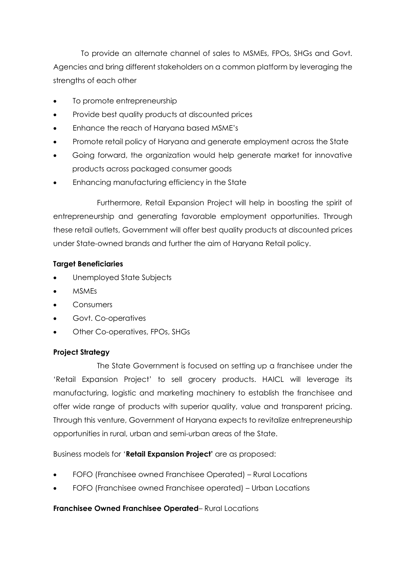To provide an alternate channel of sales to MSMEs, FPOs, SHGs and Govt. Agencies and bring different stakeholders on a common platform by leveraging the strengths of each other

- To promote entrepreneurship
- Provide best quality products at discounted prices
- Enhance the reach of Haryana based MSME's
- Promote retail policy of Haryana and generate employment across the State
- Going forward, the organization would help generate market for innovative products across packaged consumer goods
- Enhancing manufacturing efficiency in the State

Furthermore, Retail Expansion Project will help in boosting the spirit of entrepreneurship and generating favorable employment opportunities. Through these retail outlets, Government will offer best quality products at discounted prices under State-owned brands and further the aim of Haryana Retail policy.

#### **Target Beneficiaries**

- Unemployed State Subjects
- **MSMEs**
- **Consumers**
- Govt. Co-operatives
- Other Co-operatives, FPOs, SHGs

#### **Project Strategy**

 The State Government is focused on setting up a franchisee under the 'Retail Expansion Project' to sell grocery products. HAICL will leverage its manufacturing, logistic and marketing machinery to establish the franchisee and offer wide range of products with superior quality, value and transparent pricing. Through this venture, Government of Haryana expects to revitalize entrepreneurship opportunities in rural, urban and semi-urban areas of the State.

Business models for '**Retail Expansion Project'** are as proposed:

- FOFO (Franchisee owned Franchisee Operated) Rural Locations
- FOFO (Franchisee owned Franchisee operated) Urban Locations

#### **Franchisee Owned Franchisee Operated**– Rural Locations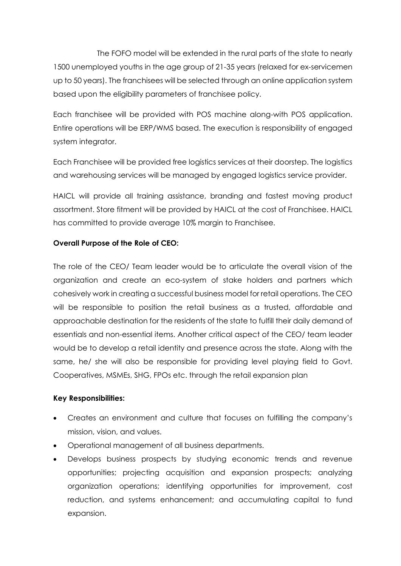The FOFO model will be extended in the rural parts of the state to nearly 1500 unemployed youths in the age group of 21-35 years (relaxed for ex-servicemen up to 50 years). The franchisees will be selected through an online application system based upon the eligibility parameters of franchisee policy.

Each franchisee will be provided with POS machine along-with POS application. Entire operations will be ERP/WMS based. The execution is responsibility of engaged system integrator.

Each Franchisee will be provided free logistics services at their doorstep. The logistics and warehousing services will be managed by engaged logistics service provider.

HAICL will provide all training assistance, branding and fastest moving product assortment. Store fitment will be provided by HAICL at the cost of Franchisee. HAICL has committed to provide average 10% margin to Franchisee.

#### **Overall Purpose of the Role of CEO:**

The role of the CEO/ Team leader would be to articulate the overall vision of the organization and create an eco-system of stake holders and partners which cohesively work in creating a successful business model for retail operations. The CEO will be responsible to position the retail business as a trusted, affordable and approachable destination for the residents of the state to fulfill their daily demand of essentials and non-essential items. Another critical aspect of the CEO/ team leader would be to develop a retail identity and presence across the state. Along with the same, he/ she will also be responsible for providing level playing field to Govt. Cooperatives, MSMEs, SHG, FPOs etc. through the retail expansion plan

#### **Key Responsibilities:**

- Creates an environment and culture that focuses on fulfilling the company's mission, vision, and values.
- Operational management of all business departments.
- Develops business prospects by studying economic trends and revenue opportunities; projecting acquisition and expansion prospects; analyzing organization operations; identifying opportunities for improvement, cost reduction, and systems enhancement; and accumulating capital to fund expansion.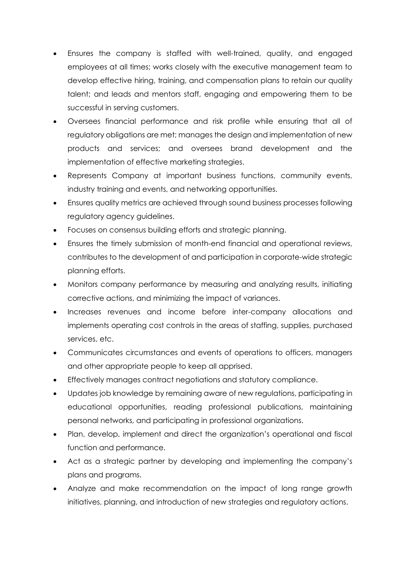- Ensures the company is staffed with well-trained, quality, and engaged employees at all times; works closely with the executive management team to develop effective hiring, training, and compensation plans to retain our quality talent; and leads and mentors staff, engaging and empowering them to be successful in serving customers.
- Oversees financial performance and risk profile while ensuring that all of regulatory obligations are met; manages the design and implementation of new products and services; and oversees brand development and the implementation of effective marketing strategies.
- Represents Company at important business functions, community events, industry training and events, and networking opportunities.
- Ensures quality metrics are achieved through sound business processes following regulatory agency guidelines.
- Focuses on consensus building efforts and strategic planning.
- Ensures the timely submission of month-end financial and operational reviews, contributes to the development of and participation in corporate-wide strategic planning efforts.
- Monitors company performance by measuring and analyzing results, initiating corrective actions, and minimizing the impact of variances.
- Increases revenues and income before inter-company allocations and implements operating cost controls in the areas of staffing, supplies, purchased services, etc.
- Communicates circumstances and events of operations to officers, managers and other appropriate people to keep all apprised.
- Effectively manages contract negotiations and statutory compliance.
- Updates job knowledge by remaining aware of new regulations, participating in educational opportunities, reading professional publications, maintaining personal networks, and participating in professional organizations.
- Plan, develop, implement and direct the organization's operational and fiscal function and performance.
- Act as a strategic partner by developing and implementing the company's plans and programs.
- Analyze and make recommendation on the impact of long range growth initiatives, planning, and introduction of new strategies and regulatory actions.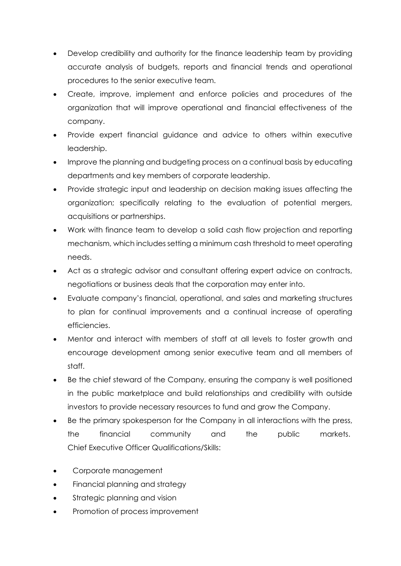- Develop credibility and authority for the finance leadership team by providing accurate analysis of budgets, reports and financial trends and operational procedures to the senior executive team.
- Create, improve, implement and enforce policies and procedures of the organization that will improve operational and financial effectiveness of the company.
- Provide expert financial guidance and advice to others within executive leadership.
- Improve the planning and budgeting process on a continual basis by educating departments and key members of corporate leadership.
- Provide strategic input and leadership on decision making issues affecting the organization; specifically relating to the evaluation of potential mergers, acquisitions or partnerships.
- Work with finance team to develop a solid cash flow projection and reporting mechanism, which includes setting a minimum cash threshold to meet operating needs.
- Act as a strategic advisor and consultant offering expert advice on contracts, negotiations or business deals that the corporation may enter into.
- Evaluate company's financial, operational, and sales and marketing structures to plan for continual improvements and a continual increase of operating efficiencies.
- Mentor and interact with members of staff at all levels to foster growth and encourage development among senior executive team and all members of staff.
- Be the chief steward of the Company, ensuring the company is well positioned in the public marketplace and build relationships and credibility with outside investors to provide necessary resources to fund and grow the Company.
- Be the primary spokesperson for the Company in all interactions with the press, the financial community and the public markets. Chief Executive Officer Qualifications/Skills:
- Corporate management
- Financial planning and strategy
- Strategic planning and vision
- Promotion of process improvement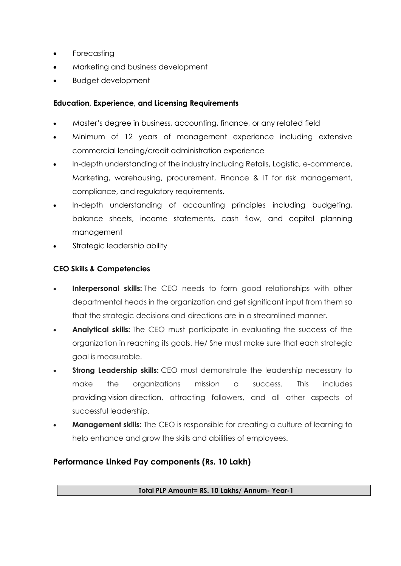- **Forecasting**
- Marketing and business development
- Budget development

#### **Education, Experience, and Licensing Requirements**

- Master's degree in business, accounting, finance, or any related field
- Minimum of 12 years of management experience including extensive commercial lending/credit administration experience
- In-depth understanding of the industry including Retails, Logistic, e-commerce, Marketing, warehousing, procurement, Finance & IT for risk management, compliance, and regulatory requirements.
- In-depth understanding of accounting principles including budgeting, balance sheets, income statements, cash flow, and capital planning management
- Strategic leadership ability

### **CEO Skills & Competencies**

- **Interpersonal skills:** The CEO needs to form good relationships with other departmental heads in the organization and get significant input from them so that the strategic decisions and directions are in a streamlined manner.
- **Analytical skills:** The CEO must participate in evaluating the success of the organization in reaching its goals. He/ She must make sure that each strategic goal is measurable.
- **Strong Leadership skills:** CEO must demonstrate the leadership necessary to make the organizations mission a success. This includes providing [vision](https://www.thebalancecareers.com/leadership-vision-1918616) direction, attracting followers, and all other aspects of successful leadership.
- **Management skills:** The CEO is responsible for creating a culture of learning to help enhance and grow the skills and abilities of employees.

## **Performance Linked Pay components (Rs. 10 Lakh)**

**Total PLP Amount= RS. 10 Lakhs/ Annum- Year-1**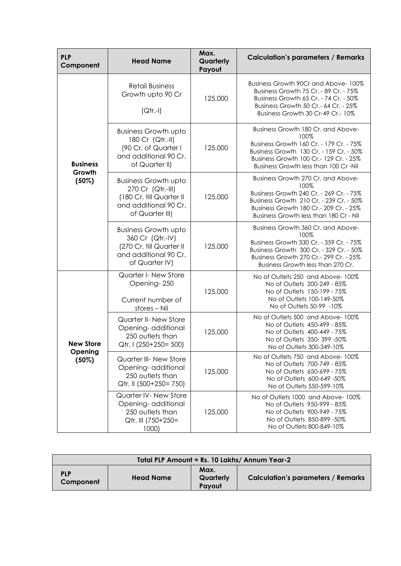| <b>PLP</b><br>Component                 | <b>Head Name</b>                                                                                                         | Max.<br>Quarterly<br>Payout | <b>Calculation's parameters / Remarks</b>                                                                                                                                                                            |
|-----------------------------------------|--------------------------------------------------------------------------------------------------------------------------|-----------------------------|----------------------------------------------------------------------------------------------------------------------------------------------------------------------------------------------------------------------|
| <b>Business</b><br>Growth<br>(50%)      | <b>Retail Business</b><br>Growth upto 90 Cr<br>$(Qtr.-I)$                                                                | 125,000                     | Business Growth 90Cr and Above-100%<br>Business Growth 75 Cr. - 89 Cr. - 75%<br>Business Growth 65 Cr. - 74 Cr. - 50%<br>Business Growth 50 Cr. - 64 Cr. - 25%<br>Business Growth 30 Cr-49 Cr.- 10%                  |
|                                         | <b>Business Growth upto</b><br>180 Cr (Qtr.-II)<br>(90 Cr. of Quarter I<br>and additional 90 Cr.<br>of Quarter II)       | 125,000                     | Business Growth 180 Cr. and Above-<br>100%<br>Business Growth 160 Cr. - 179 Cr. - 75%<br>Business Growth 130 Cr. - 159 Cr. - 50%<br>Business Growth 100 Cr.- 129 Cr. - 25%<br>Business Growth less than 100 Cr-Nil   |
|                                         | <b>Business Growth upto</b><br>270 Cr (Qtr.-III)<br>(180 Cr. till Quarter II<br>and additional 90 Cr.<br>of Quarter III) | 125,000                     | Business Growth 270 Cr. and Above-<br>100%<br>Business Growth 240 Cr. - 269 Cr. - 75%<br>Business Growth 210 Cr. - 239 Cr. - 50%<br>Business Growth 180 Cr.- 209 Cr. - 25%<br>Business Growth less than 180 Cr - Nil |
|                                         | <b>Business Growth upto</b><br>360 Cr (Qtr.-IV)<br>(270 Cr. till Quarter II<br>and additional 90 Cr.<br>of Quarter IV)   | 125,000                     | Business Growth 360 Cr. and Above-<br>100%<br>Business Growth 330 Cr. - 359 Cr. - 75%<br>Business Growth 300 Cr. - 329 Cr. - 50%<br>Business Growth 270 Cr.- 299 Cr. - 25%<br>Business Growth less than 270 Cr.      |
| <b>New Store</b><br>Opening<br>$(50\%)$ | Quarter I- New Store<br>Opening-250<br>Current number of<br>stores - Nil                                                 | 125,000                     | No of Outlets 250 and Above-100%<br>No of Outlets 200-249 - 85%<br>No of Outlets 150-199 - 75%<br>No of Outlets 100-149-50%<br>No of Outlets 50-99 -10%                                                              |
|                                         | Quarter II- New Store<br>Opening-additional<br>250 outlets than<br>Qtr. I (250+250= 500)                                 | 125,000                     | No of Outlets 500 and Above-100%<br>No of Outlets 450-499 - 85%<br>No of Outlets 400-449 - 75%<br>No of Outlets 350-399 -50%<br>No of Outlets 300-349-10%                                                            |
|                                         | Quarter III- New Store<br>Opening-additional<br>250 outlets than<br>Qtr. II (500+250= 750)                               | 125,000                     | No of Outlets 750 and Above-100%<br>No of Outlets 700-749 - 85%<br>No of Outlets 650-699 - 75%<br>No of Outlets 600-649 -50%<br>No of Outlets 550-599-10%                                                            |
|                                         | Quarter IV- New Store<br>Opening-additional<br>250 outlets than<br>Qtr. III (750+250=<br>1000                            | 125,000                     | No of Outlets 1000 and Above-100%<br>No of Outlets 950-999 - 85%<br>No of Outlets 900-949 - 75%<br>No of Outlets 850-899 -50%<br>No of Outlets 800-849-10%                                                           |

| Total PLP Amount = Rs. 10 Lakhs/ Annum Year-2 |                  |                             |                                           |  |  |
|-----------------------------------------------|------------------|-----------------------------|-------------------------------------------|--|--|
| <b>PLP</b><br>Component                       | <b>Head Name</b> | Max.<br>Quarterly<br>Pavout | <b>Calculation's parameters / Remarks</b> |  |  |